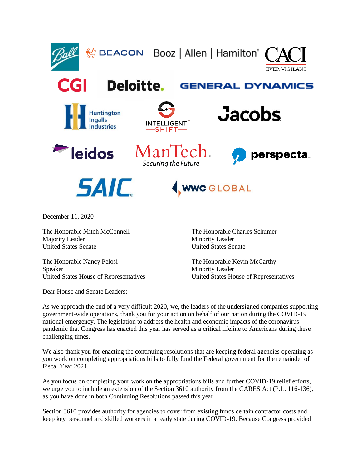

December 11, 2020

The Honorable Mitch McConnell The Honorable Charles Schumer Majority Leader Minority Leader United States Senate United States Senate

The Honorable Nancy Pelosi The Honorable Kevin McCarthy Speaker Minority Leader United States House of Representatives United States House of Representatives

Dear House and Senate Leaders:

As we approach the end of a very difficult 2020, we, the leaders of the undersigned companies supporting government-wide operations, thank you for your action on behalf of our nation during the COVID-19 national emergency. The legislation to address the health and economic impacts of the coronavirus pandemic that Congress has enacted this year has served as a critical lifeline to Americans during these challenging times.

We also thank you for enacting the continuing resolutions that are keeping federal agencies operating as you work on completing appropriations bills to fully fund the Federal government for the remainder of Fiscal Year 2021.

As you focus on completing your work on the appropriations bills and further COVID-19 relief efforts, we urge you to include an extension of the Section 3610 authority from the CARES Act (P.L. 116-136), as you have done in both Continuing Resolutions passed this year.

Section 3610 provides authority for agencies to cover from existing funds certain contractor costs and keep key personnel and skilled workers in a ready state during COVID-19. Because Congress provided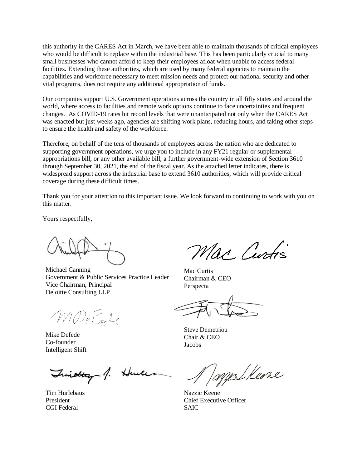this authority in the CARES Act in March, we have been able to maintain thousands of critical employees who would be difficult to replace within the industrial base. This has been particularly crucial to many small businesses who cannot afford to keep their employees afloat when unable to access federal facilities. Extending these authorities, which are used by many federal agencies to maintain the capabilities and workforce necessary to meet mission needs and protect our national security and other vital programs, does not require any additional appropriation of funds.

Our companies support U.S. Government operations across the country in all fifty states and around the world, where access to facilities and remote work options continue to face uncertainties and frequent changes. As COVID-19 rates hit record levels that were unanticipated not only when the CARES Act was enacted but just weeks ago, agencies are shifting work plans, reducing hours, and taking other steps to ensure the health and safety of the workforce.

Therefore, on behalf of the tens of thousands of employees across the nation who are dedicated to supporting government operations, we urge you to include in any FY21 regular or supplemental appropriations bill, or any other available bill, a further government-wide extension of Section 3610 through September 30, 2021, the end of the fiscal year. As the attached letter indicates, there is widespread support across the industrial base to extend 3610 authorities, which will provide critical coverage during these difficult times.

Thank you for your attention to this important issue. We look forward to continuing to work with you on this matter.

Yours respectfully,

Michael Canning Government & Public Services Practice Leader Vice Chairman, Principal Deloitte Consulting LLP

MDeFele

Mike Defede Co-founder Intelligent Shift

Trinottay 1. Huele

Tim Hurlebaus President CGI Federal

Mac Curtis

Mac Curtis Chairman & CEO Perspecta

Steve Demetriou Chair & CEO Jacobs

melkeone

Nazzic Keene Chief Executive Officer SAIC